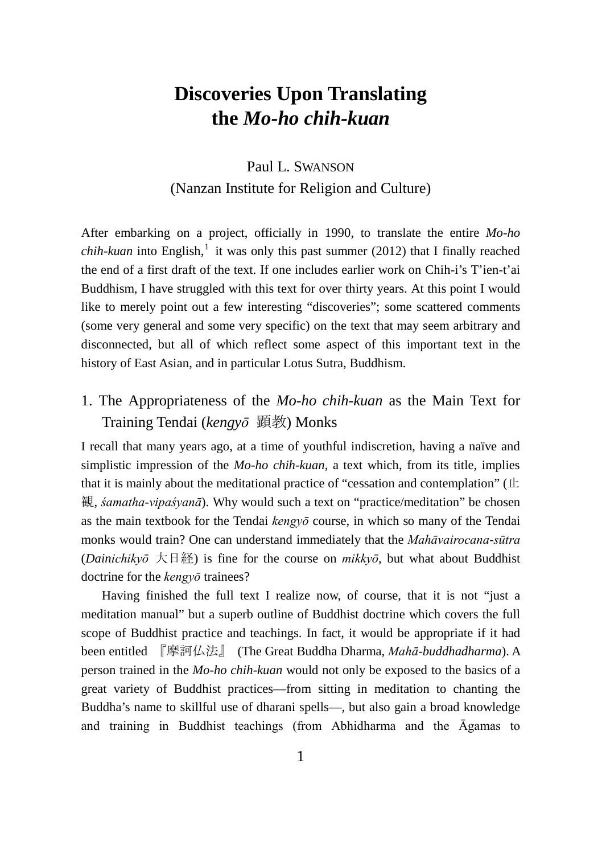# **Discoveries Upon Translating the** *Mo-ho chih-kuan*

# Paul L. SWANSON (Nanzan Institute for Religion and Culture)

After embarking on a project, officially in 1990, to translate the entire *Mo-ho chih-kuan* into English, [1](#page-8-0) it was only this past summer (2012) that I finally reached the end of a first draft of the text. If one includes earlier work on Chih-i's T'ien-t'ai Buddhism, I have struggled with this text for over thirty years. At this point I would like to merely point out a few interesting "discoveries"; some scattered comments (some very general and some very specific) on the text that may seem arbitrary and disconnected, but all of which reflect some aspect of this important text in the history of East Asian, and in particular Lotus Sutra, Buddhism.

# 1. The Appropriateness of the *Mo-ho chih-kuan* as the Main Text for Training Tendai (*kengyō* 顕教) Monks

I recall that many years ago, at a time of youthful indiscretion, having a naïve and simplistic impression of the *Mo-ho chih-kuan*, a text which, from its title, implies that it is mainly about the meditational practice of "cessation and contemplation" (止 観, *śamatha-vipaśyanā*). Why would such a text on "practice/meditation" be chosen as the main textbook for the Tendai *kengyō* course, in which so many of the Tendai monks would train? One can understand immediately that the *Mahāvairocana-sūtra* (*Dainichikyō* 大日経) is fine for the course on *mikkyō*, but what about Buddhist doctrine for the *kengyō* trainees?

Having finished the full text I realize now, of course, that it is not "just a meditation manual" but a superb outline of Buddhist doctrine which covers the full scope of Buddhist practice and teachings. In fact, it would be appropriate if it had been entitled 『摩訶仏法』 (The Great Buddha Dharma, *Mahā-buddhadharma*). A person trained in the *Mo-ho chih-kuan* would not only be exposed to the basics of a great variety of Buddhist practices—from sitting in meditation to chanting the Buddha's name to skillful use of dharani spells—, but also gain a broad knowledge and training in Buddhist teachings (from Abhidharma and the Āgamas to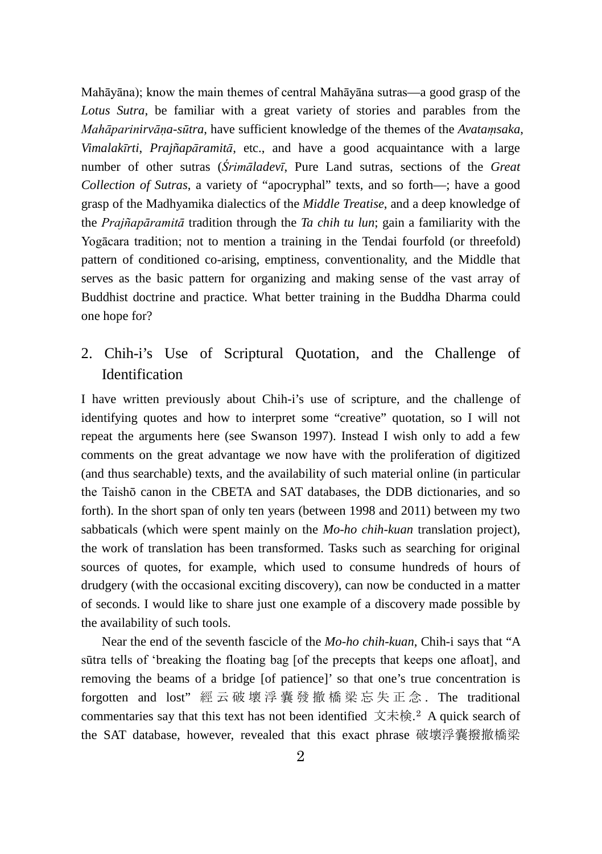Mahāyāna); know the main themes of central Mahāyāna sutras—a good grasp of the *Lotus Sutra*, be familiar with a great variety of stories and parables from the *Mahāparinirvāṇa-sūtra*, have sufficient knowledge of the themes of the *Avataṃsaka*, *Vimalakīrti*, *Prajñapāramitā*, etc., and have a good acquaintance with a large number of other sutras (*Śrimāladevī*, Pure Land sutras, sections of the *Great Collection of Sutras*, a variety of "apocryphal" texts, and so forth—; have a good grasp of the Madhyamika dialectics of the *Middle Treatise*, and a deep knowledge of the *Prajñapāramitā* tradition through the *Ta chih tu lun*; gain a familiarity with the Yogācara tradition; not to mention a training in the Tendai fourfold (or threefold) pattern of conditioned co-arising, emptiness, conventionality, and the Middle that serves as the basic pattern for organizing and making sense of the vast array of Buddhist doctrine and practice. What better training in the Buddha Dharma could one hope for?

2. Chih-i's Use of Scriptural Quotation, and the Challenge of **Identification** 

I have written previously about Chih-i's use of scripture, and the challenge of identifying quotes and how to interpret some "creative" quotation, so I will not repeat the arguments here (see Swanson 1997). Instead I wish only to add a few comments on the great advantage we now have with the proliferation of digitized (and thus searchable) texts, and the availability of such material online (in particular the Taishō canon in the CBETA and SAT databases, the DDB dictionaries, and so forth). In the short span of only ten years (between 1998 and 2011) between my two sabbaticals (which were spent mainly on the *Mo-ho chih-kuan* translation project), the work of translation has been transformed. Tasks such as searching for original sources of quotes, for example, which used to consume hundreds of hours of drudgery (with the occasional exciting discovery), can now be conducted in a matter of seconds. I would like to share just one example of a discovery made possible by the availability of such tools.

Near the end of the seventh fascicle of the *Mo-ho chih-kuan*, Chih-i says that "A sūtra tells of 'breaking the floating bag [of the precepts that keeps one afloat], and removing the beams of a bridge [of patience]' so that one's true concentration is forgotten and lost" 經云破壞浮嚢發撤橋梁忘失正念 . The traditional commentaries say that this text has not been identified 文未検.[2](#page-8-1) A quick search of the SAT database, however, revealed that this exact phrase 破壞浮嚢撥撤橋梁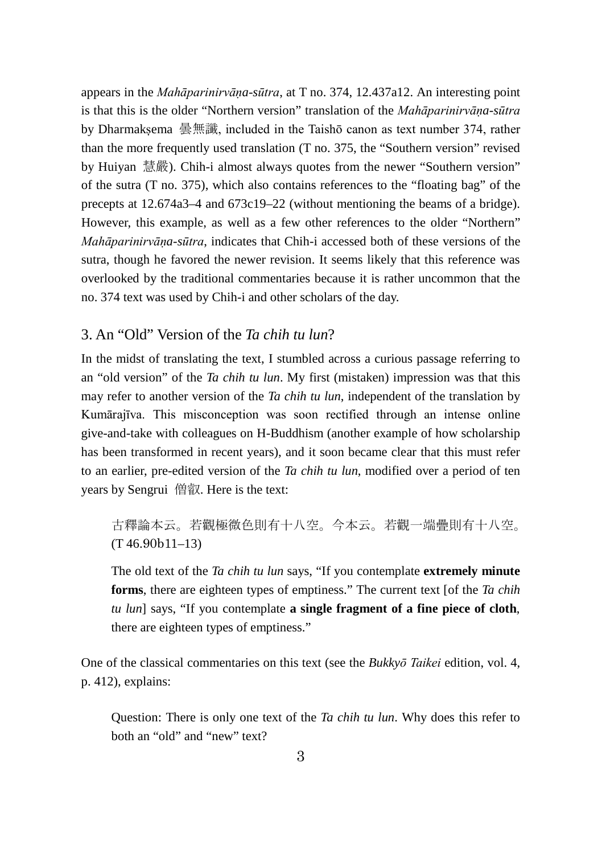appears in the *Mahāparinirvāṇa-sūtra*, at T no. 374, 12.437a12. An interesting point is that this is the older "Northern version" translation of the *Mahāparinirvāṇa-sūtra* by Dharmakṣema 曇無讖, included in the Taishō canon as text number 374, rather than the more frequently used translation (T no. 375, the "Southern version" revised by Huiyan 慧嚴). Chih-i almost always quotes from the newer "Southern version" of the sutra (T no. 375), which also contains references to the "floating bag" of the precepts at 12.674a3–4 and 673c19–22 (without mentioning the beams of a bridge). However, this example, as well as a few other references to the older "Northern" *Mahāparinirvāṇa-sūtra*, indicates that Chih-i accessed both of these versions of the sutra, though he favored the newer revision. It seems likely that this reference was overlooked by the traditional commentaries because it is rather uncommon that the no. 374 text was used by Chih-i and other scholars of the day.

## 3. An "Old" Version of the *Ta chih tu lun*?

In the midst of translating the text, I stumbled across a curious passage referring to an "old version" of the *Ta chih tu lun*. My first (mistaken) impression was that this may refer to another version of the *Ta chih tu lun*, independent of the translation by Kumārajīva. This misconception was soon rectified through an intense online give-and-take with colleagues on H-Buddhism (another example of how scholarship has been transformed in recent years), and it soon became clear that this must refer to an earlier, pre-edited version of the *Ta chih tu lun*, modified over a period of ten years by Sengrui 僧叡. Here is the text:

古釋論本云。若觀極微色則有十八空。今本云。若觀一端疊則有十八空。 (T 46.90b11–13)

The old text of the *Ta chih tu lun* says, "If you contemplate **extremely minute forms**, there are eighteen types of emptiness." The current text [of the *Ta chih tu lun*] says, "If you contemplate **a single fragment of a fine piece of cloth**, there are eighteen types of emptiness."

One of the classical commentaries on this text (see the *Bukkyō Taikei* edition, vol. 4, p. 412), explains:

Question: There is only one text of the *Ta chih tu lun*. Why does this refer to both an "old" and "new" text?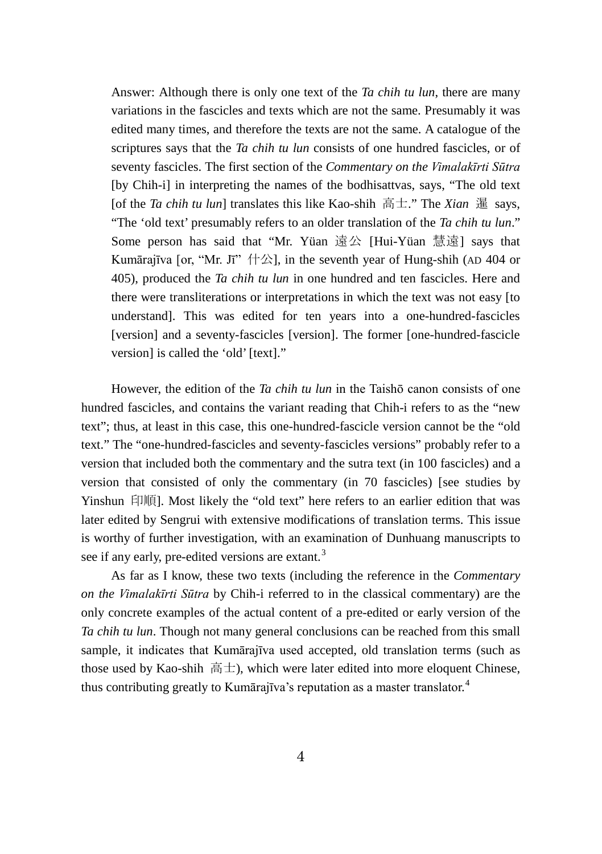Answer: Although there is only one text of the *Ta chih tu lun*, there are many variations in the fascicles and texts which are not the same. Presumably it was edited many times, and therefore the texts are not the same. A catalogue of the scriptures says that the *Ta chih tu lun* consists of one hundred fascicles, or of seventy fascicles. The first section of the *Commentary on the Vimalakīrti Sūtra* [by Chih-i] in interpreting the names of the bodhisattvas, says, "The old text [of the *Ta chih tu lun*] translates this like Kao-shih 高士." The *Xian* 暹 says, "The 'old text' presumably refers to an older translation of the *Ta chih tu lun*." Some person has said that "Mr. Yüan 遠公 [Hui-Yüan 慧遠] says that Kumārajīva [or, "Mr. Jī"  $\#\triangle$ ], in the seventh year of Hung-shih (AD 404 or 405), produced the *Ta chih tu lun* in one hundred and ten fascicles. Here and there were transliterations or interpretations in which the text was not easy [to understand]. This was edited for ten years into a one-hundred-fascicles [version] and a seventy-fascicles [version]. The former [one-hundred-fascicle version] is called the 'old' [text]."

However, the edition of the *Ta chih tu lun* in the Taishō canon consists of one hundred fascicles, and contains the variant reading that Chih-i refers to as the "new text"; thus, at least in this case, this one-hundred-fascicle version cannot be the "old text." The "one-hundred-fascicles and seventy-fascicles versions" probably refer to a version that included both the commentary and the sutra text (in 100 fascicles) and a version that consisted of only the commentary (in 70 fascicles) [see studies by Yinshun 印順]. Most likely the "old text" here refers to an earlier edition that was later edited by Sengrui with extensive modifications of translation terms. This issue is worthy of further investigation, with an examination of Dunhuang manuscripts to see if any early, pre-edited versions are extant.<sup>[3](#page-8-2)</sup>

As far as I know, these two texts (including the reference in the *Commentary on the Vimalakīrti Sūtra* by Chih-i referred to in the classical commentary) are the only concrete examples of the actual content of a pre-edited or early version of the *Ta chih tu lun*. Though not many general conclusions can be reached from this small sample, it indicates that Kumārajīva used accepted, old translation terms (such as those used by Kao-shih  $\ddot{a}$   $\pm$ ), which were later edited into more eloquent Chinese, thus contributing greatly to Kumārajīva's reputation as a master translator. [4](#page-8-3)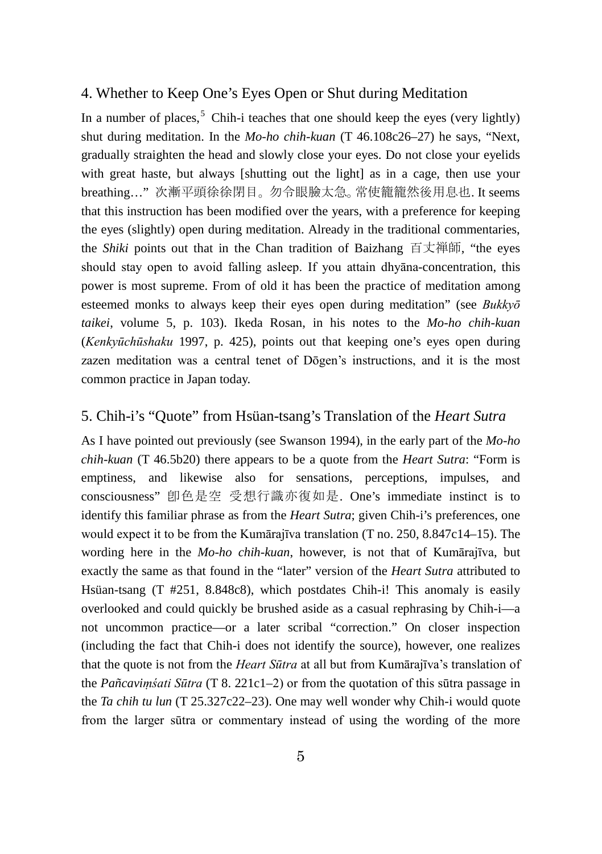### 4. Whether to Keep One's Eyes Open or Shut during Meditation

In a number of places,  $5$  Chih-i teaches that one should keep the eyes (very lightly) shut during meditation. In the *Mo-ho chih-kuan* (T 46.108c26–27) he says, "Next, gradually straighten the head and slowly close your eyes. Do not close your eyelids with great haste, but always [shutting out the light] as in a cage, then use your breathing…" 次漸平頭徐徐閉目。勿令眼臉太急。常使籠籠然後用息也. It seems that this instruction has been modified over the years, with a preference for keeping the eyes (slightly) open during meditation. Already in the traditional commentaries, the *Shiki* points out that in the Chan tradition of Baizhang 百丈禅師, "the eyes should stay open to avoid falling asleep. If you attain dhyāna-concentration, this power is most supreme. From of old it has been the practice of meditation among esteemed monks to always keep their eyes open during meditation" (see *Bukkyō taikei*, volume 5, p. 103). Ikeda Rosan, in his notes to the *Mo-ho chih-kuan* (*Kenkyūchūshaku* 1997, p. 425), points out that keeping one's eyes open during zazen meditation was a central tenet of Dōgen's instructions, and it is the most common practice in Japan today.

### 5. Chih-i's "Quote" from Hsüan-tsang's Translation of the *Heart Sutra*

As I have pointed out previously (see Swanson 1994), in the early part of the *Mo-ho chih-kuan* (T 46.5b20) there appears to be a quote from the *Heart Sutra*: "Form is emptiness, and likewise also for sensations, perceptions, impulses, and consciousness" 卽色是空 受想行識亦復如是. One's immediate instinct is to identify this familiar phrase as from the *Heart Sutra*; given Chih-i's preferences, one would expect it to be from the Kumārajīva translation (T no. 250, 8.847c14–15). The wording here in the *Mo-ho chih-kuan*, however, is not that of Kumārajīva, but exactly the same as that found in the "later" version of the *Heart Sutra* attributed to Hsüan-tsang (T #251, 8.848c8), which postdates Chih-i! This anomaly is easily overlooked and could quickly be brushed aside as a casual rephrasing by Chih-i—a not uncommon practice—or a later scribal "correction." On closer inspection (including the fact that Chih-i does not identify the source), however, one realizes that the quote is not from the *Heart Sūtra* at all but from Kumārajīva's translation of the *Pañcaviṃśati Sūtra* (T 8. 221c1–2) or from the quotation of this sūtra passage in the *Ta chih tu lun* (T 25.327c22–23). One may well wonder why Chih-i would quote from the larger sūtra or commentary instead of using the wording of the more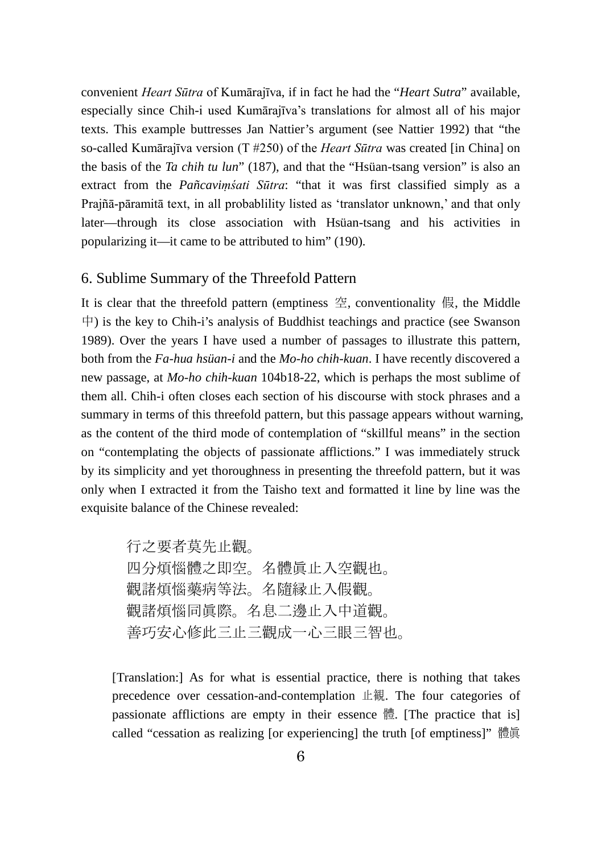convenient *Heart Sūtra* of Kumārajīva, if in fact he had the "*Heart Sutra*" available, especially since Chih-i used Kumārajīva's translations for almost all of his major texts. This example buttresses Jan Nattier's argument (see Nattier 1992) that "the so-called Kumārajīva version (T #250) of the *Heart Sūtra* was created [in China] on the basis of the *Ta chih tu lun*" (187), and that the "Hsüan-tsang version" is also an extract from the *Pañcaviṃśati Sūtra*: "that it was first classified simply as a Prajñā-pāramitā text, in all probablility listed as 'translator unknown,' and that only later—through its close association with Hsüan-tsang and his activities in popularizing it—it came to be attributed to him" (190).

### 6. Sublime Summary of the Threefold Pattern

It is clear that the threefold pattern (emptiness  $\mathcal{Z}$ , conventionality  $\mathcal{R}$ , the Middle  $\uparrow$ ) is the key to Chih-i's analysis of Buddhist teachings and practice (see Swanson 1989). Over the years I have used a number of passages to illustrate this pattern, both from the *Fa-hua hsüan-i* and the *Mo-ho chih-kuan*. I have recently discovered a new passage, at *Mo-ho chih-kuan* 104b18-22, which is perhaps the most sublime of them all. Chih-i often closes each section of his discourse with stock phrases and a summary in terms of this threefold pattern, but this passage appears without warning, as the content of the third mode of contemplation of "skillful means" in the section on "contemplating the objects of passionate afflictions." I was immediately struck by its simplicity and yet thoroughness in presenting the threefold pattern, but it was only when I extracted it from the Taisho text and formatted it line by line was the exquisite balance of the Chinese revealed:

> 行之要者莫先止觀。 四分煩惱體之即空。名體眞止入空觀也。 觀諸煩惱藥病等法。名隨縁止入假觀。 觀諸煩惱同眞際。名息二邊止入中道觀。 善巧安心修此三止三觀成一心三眼三智也。

[Translation:] As for what is essential practice, there is nothing that takes precedence over cessation-and-contemplation 止観. The four categories of passionate afflictions are empty in their essence 體. [The practice that is] called "cessation as realizing [or experiencing] the truth [of emptiness]" 體眞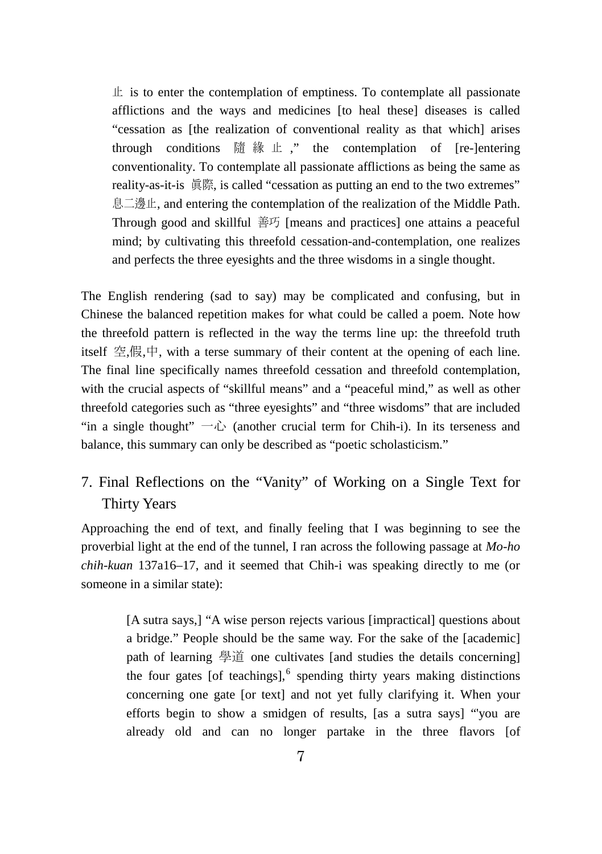$\pm$  is to enter the contemplation of emptiness. To contemplate all passionate afflictions and the ways and medicines [to heal these] diseases is called "cessation as [the realization of conventional reality as that which] arises through conditions 隨 緣 止 ," the contemplation of [re-lentering] conventionality. To contemplate all passionate afflictions as being the same as reality-as-it-is 眞際, is called "cessation as putting an end to the two extremes" 息二邊止, and entering the contemplation of the realization of the Middle Path. Through good and skillful 善巧 [means and practices] one attains a peaceful mind; by cultivating this threefold cessation-and-contemplation, one realizes and perfects the three eyesights and the three wisdoms in a single thought.

The English rendering (sad to say) may be complicated and confusing, but in Chinese the balanced repetition makes for what could be called a poem. Note how the threefold pattern is reflected in the way the terms line up: the threefold truth itself 空,假,中, with a terse summary of their content at the opening of each line. The final line specifically names threefold cessation and threefold contemplation, with the crucial aspects of "skillful means" and a "peaceful mind," as well as other threefold categories such as "three eyesights" and "three wisdoms" that are included "in a single thought"  $\neg$   $\Diamond$  (another crucial term for Chih-i). In its terseness and balance, this summary can only be described as "poetic scholasticism."

# 7. Final Reflections on the "Vanity" of Working on a Single Text for Thirty Years

Approaching the end of text, and finally feeling that I was beginning to see the proverbial light at the end of the tunnel, I ran across the following passage at *Mo-ho chih-kuan* 137a16–17, and it seemed that Chih-i was speaking directly to me (or someone in a similar state):

> [A sutra says,] "A wise person rejects various [impractical] questions about a bridge." People should be the same way. For the sake of the [academic] path of learning 學道 one cultivates [and studies the details concerning] the four gates [of teachings], $<sup>6</sup>$  $<sup>6</sup>$  $<sup>6</sup>$  spending thirty years making distinctions</sup> concerning one gate [or text] and not yet fully clarifying it. When your efforts begin to show a smidgen of results, [as a sutra says] "'you are already old and can no longer partake in the three flavors [of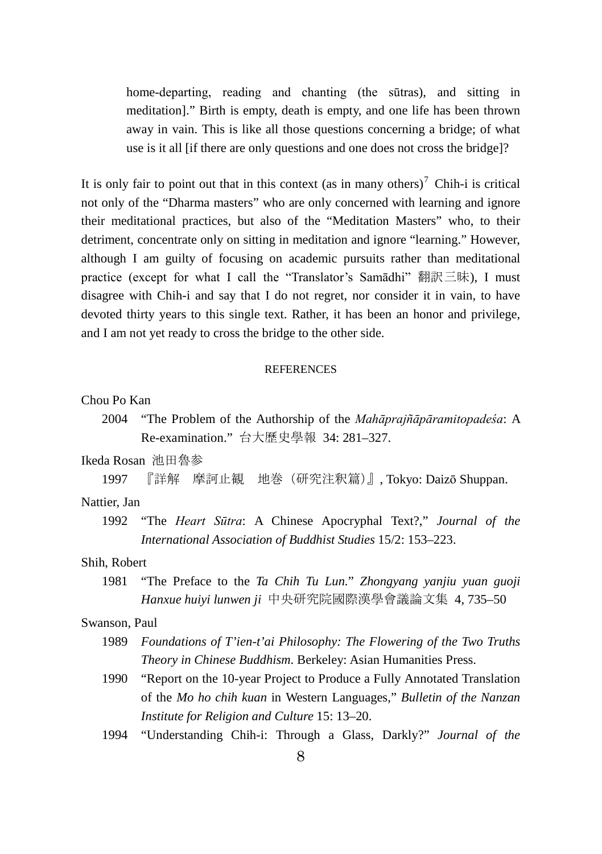home-departing, reading and chanting (the sūtras), and sitting in meditation]." Birth is empty, death is empty, and one life has been thrown away in vain. This is like all those questions concerning a bridge; of what use is it all [if there are only questions and one does not cross the bridge]?

It is only fair to point out that in this context (as in many others)<sup>[7](#page-8-6)</sup> Chih-i is critical not only of the "Dharma masters" who are only concerned with learning and ignore their meditational practices, but also of the "Meditation Masters" who, to their detriment, concentrate only on sitting in meditation and ignore "learning." However, although I am guilty of focusing on academic pursuits rather than meditational practice (except for what I call the "Translator's Samadhi" 翻訳三昧), I must disagree with Chih-i and say that I do not regret, nor consider it in vain, to have devoted thirty years to this single text. Rather, it has been an honor and privilege, and I am not yet ready to cross the bridge to the other side.

#### **REFERENCES**

### Chou Po Kan

2004 "The Problem of the Authorship of the *Mahāprajñāpāramitopadeśa*: A Re-examination." 台大歷史學報 34: 281–327.

#### Ikeda Rosan 池田魯参

1997 『詳解 摩訶止観 地巻(研究注釈篇)』, Tokyo: Daizō Shuppan.

#### Nattier, Jan

1992 "The *Heart Sūtra*: A Chinese Apocryphal Text?," *Journal of the International Association of Buddhist Studies* 15/2: 153–223.

### Shih, Robert

1981 "The Preface to the *Ta Chih Tu Lun.*" *Zhongyang yanjiu yuan guoji Hanxue huiyi lunwen ji* 中央研究院國際漢學會議論文集 4, 735–50

### Swanson, Paul

- 1989 *Foundations of T'ien-t'ai Philosophy: The Flowering of the Two Truths Theory in Chinese Buddhism*. Berkeley: Asian Humanities Press.
- 1990 "Report on the 10-year Project to Produce a Fully Annotated Translation of the *Mo ho chih kuan* in Western Languages," *Bulletin of the Nanzan Institute for Religion and Culture* 15: 13–20.
- 1994 "Understanding Chih-i: Through a Glass, Darkly?" *Journal of the*